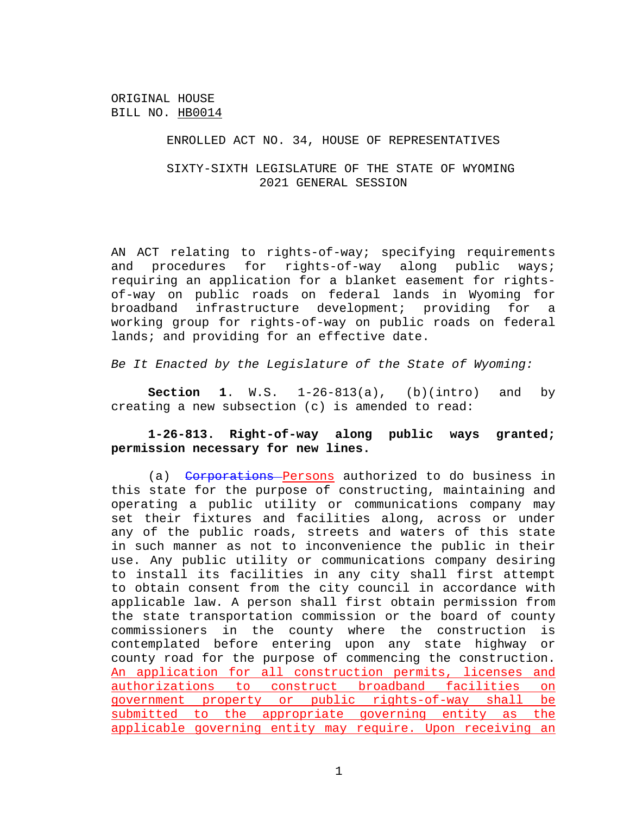### ENROLLED ACT NO. 34, HOUSE OF REPRESENTATIVES

# SIXTY-SIXTH LEGISLATURE OF THE STATE OF WYOMING 2021 GENERAL SESSION

AN ACT relating to rights-of-way; specifying requirements and procedures for rights-of-way along public ways; requiring an application for a blanket easement for rightsof-way on public roads on federal lands in Wyoming for broadband infrastructure development; providing for a working group for rights-of-way on public roads on federal lands; and providing for an effective date.

*Be It Enacted by the Legislature of the State of Wyoming:*

**Section 1**. W.S. 1-26-813(a), (b)(intro) and by creating a new subsection (c) is amended to read:

## **1-26-813. Right-of-way along public ways granted; permission necessary for new lines.**

(a) Corporations Persons authorized to do business in this state for the purpose of constructing, maintaining and operating a public utility or communications company may set their fixtures and facilities along, across or under any of the public roads, streets and waters of this state in such manner as not to inconvenience the public in their use. Any public utility or communications company desiring to install its facilities in any city shall first attempt to obtain consent from the city council in accordance with applicable law. A person shall first obtain permission from the state transportation commission or the board of county commissioners in the county where the construction is contemplated before entering upon any state highway or county road for the purpose of commencing the construction. An application for all construction permits, licenses and authorizations to construct broadband facilities on government property or public rights-of-way shall be submitted to the appropriate governing entity as the applicable governing entity may require. Upon receiving an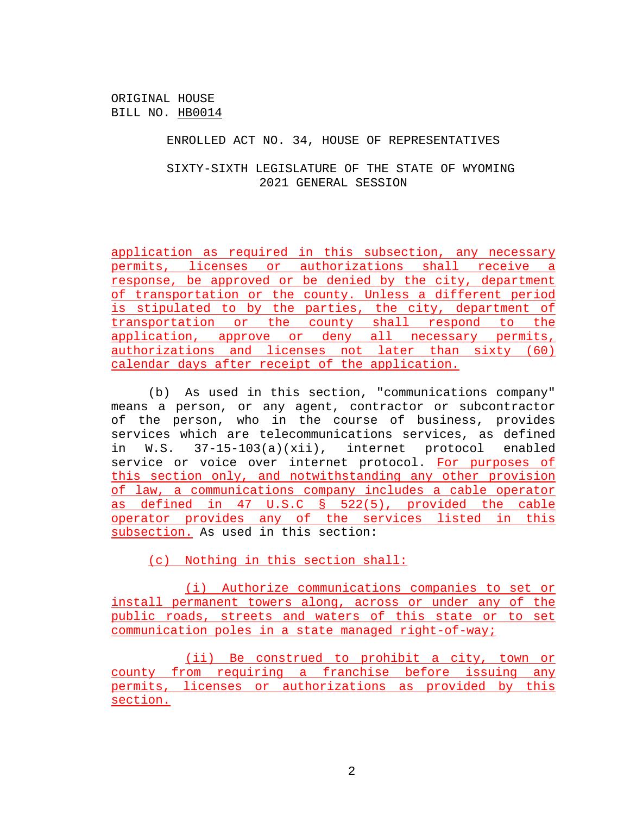## ENROLLED ACT NO. 34, HOUSE OF REPRESENTATIVES

# SIXTY-SIXTH LEGISLATURE OF THE STATE OF WYOMING 2021 GENERAL SESSION

application as required in this subsection, any necessary permits, licenses or authorizations shall receive a response, be approved or be denied by the city, department of transportation or the county. Unless a different period is stipulated to by the parties, the city, department of transportation or the county shall respond to the application, approve or deny all necessary permits, authorizations and licenses not later than sixty (60) calendar days after receipt of the application.

(b) As used in this section, "communications company" means a person, or any agent, contractor or subcontractor of the person, who in the course of business, provides services which are telecommunications services, as defined in W.S. 37-15-103(a)(xii), internet protocol enabled service or voice over internet protocol. For purposes of this section only, and notwithstanding any other provision of law, a communications company includes a cable operator as defined in 47 U.S.C § 522(5), provided the cable operator provides any of the services listed in this subsection. As used in this section:

(c) Nothing in this section shall:

(i) Authorize communications companies to set or install permanent towers along, across or under any of the public roads, streets and waters of this state or to set communication poles in a state managed right-of-way;

(ii) Be construed to prohibit a city, town or county from requiring a franchise before issuing any permits, licenses or authorizations as provided by this section.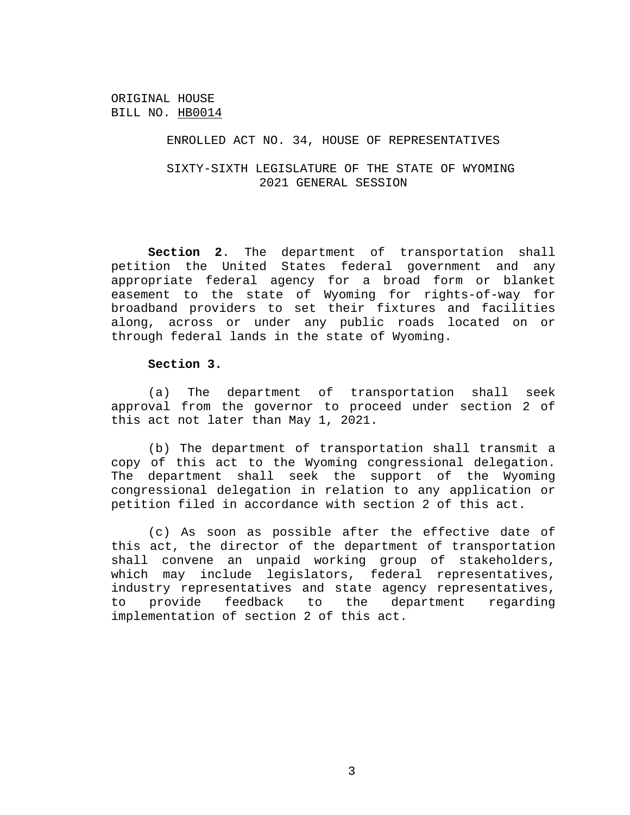### ENROLLED ACT NO. 34, HOUSE OF REPRESENTATIVES

SIXTY-SIXTH LEGISLATURE OF THE STATE OF WYOMING 2021 GENERAL SESSION

**Section 2**. The department of transportation shall petition the United States federal government and any appropriate federal agency for a broad form or blanket easement to the state of Wyoming for rights-of-way for broadband providers to set their fixtures and facilities along, across or under any public roads located on or through federal lands in the state of Wyoming.

### **Section 3.**

(a) The department of transportation shall seek approval from the governor to proceed under section 2 of this act not later than May 1, 2021.

(b) The department of transportation shall transmit a copy of this act to the Wyoming congressional delegation. The department shall seek the support of the Wyoming congressional delegation in relation to any application or petition filed in accordance with section 2 of this act.

(c) As soon as possible after the effective date of this act, the director of the department of transportation shall convene an unpaid working group of stakeholders, which may include legislators, federal representatives, industry representatives and state agency representatives, to provide feedback to the department regarding implementation of section 2 of this act.